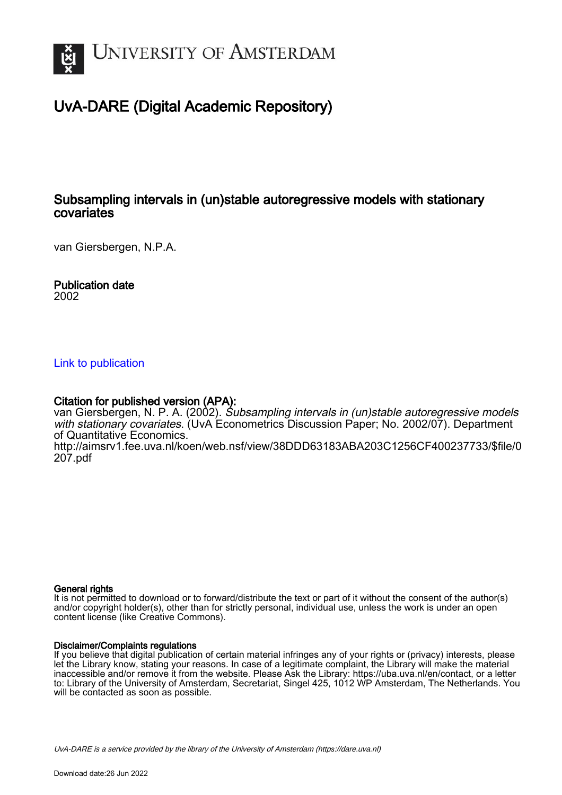

## UvA-DARE (Digital Academic Repository)

#### Subsampling intervals in (un)stable autoregressive models with stationary covariates

van Giersbergen, N.P.A.

Publication date 2002

#### [Link to publication](https://dare.uva.nl/personal/pure/en/publications/subsampling-intervals-in-unstable-autoregressive-models-with-stationary-covariates(343ad192-9f44-4a31-9c8f-8f31deddbb8c).html)

#### Citation for published version (APA):

van Giersbergen, N. P. A. (2002). Subsampling intervals in (un)stable autoregressive models with stationary covariates. (UvA Econometrics Discussion Paper; No. 2002/07). Department of Quantitative Economics. [http://aimsrv1.fee.uva.nl/koen/web.nsf/view/38DDD63183ABA203C1256CF400237733/\\$file/0](http://aimsrv1.fee.uva.nl/koen/web.nsf/view/38DDD63183ABA203C1256CF400237733/$file/0207.pdf)

#### General rights

[207.pdf](http://aimsrv1.fee.uva.nl/koen/web.nsf/view/38DDD63183ABA203C1256CF400237733/$file/0207.pdf)

It is not permitted to download or to forward/distribute the text or part of it without the consent of the author(s) and/or copyright holder(s), other than for strictly personal, individual use, unless the work is under an open content license (like Creative Commons).

#### Disclaimer/Complaints regulations

If you believe that digital publication of certain material infringes any of your rights or (privacy) interests, please let the Library know, stating your reasons. In case of a legitimate complaint, the Library will make the material inaccessible and/or remove it from the website. Please Ask the Library: https://uba.uva.nl/en/contact, or a letter to: Library of the University of Amsterdam, Secretariat, Singel 425, 1012 WP Amsterdam, The Netherlands. You will be contacted as soon as possible.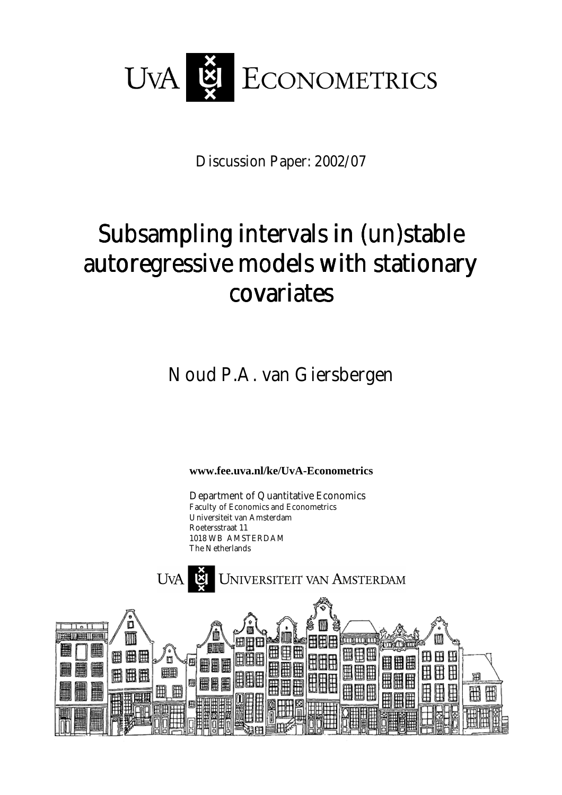

Discussion Paper: 2002/07

# Subsampling intervals in (un)stable autoregressive models with stationary covariates

Noud P.A. van Giersbergen

**www.fee.uva.nl/ke/UvA-Econometrics** 

Department of Quantitative Economics Faculty of Economics and Econometrics Universiteit van Amsterdam Roetersstraat 11 1018 WB AMSTERDAM The Netherlands

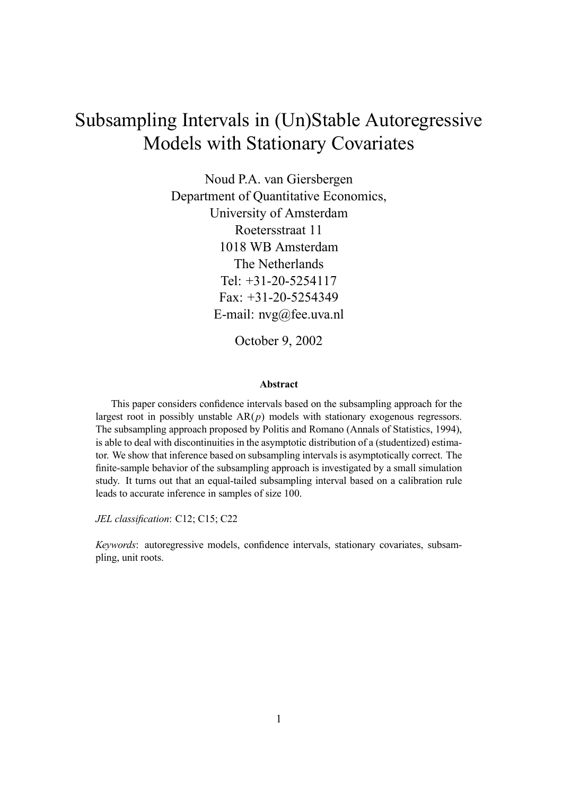## Subsampling Intervals in (Un)Stable Autoregressive Models with Stationary Covariates

Noud P.A. van Giersbergen Department of Quantitative Economics, University of Amsterdam Roetersstraat 11 1018 WB Amsterdam The Netherlands Tel: +31-20-5254117 Fax: +31-20-5254349 E-mail: nvg@fee.uva.nl

October 9, 2002

#### **Abstract**

This paper considers confidence intervals based on the subsampling approach for the largest root in possibly unstable AR(*p*) models with stationary exogenous regressors. The subsampling approach proposed by Politis and Romano (Annals of Statistics, 1994), is able to deal with discontinuities in the asymptotic distribution of a (studentized) estimator. We show that inference based on subsampling intervals is asymptotically correct. The finite-sample behavior of the subsampling approach is investigated by a small simulation study. It turns out that an equal-tailed subsampling interval based on a calibration rule leads to accurate inference in samples of size 100.

*JEL classification*: C12; C15; C22

*Keywords*: autoregressive models, confidence intervals, stationary covariates, subsampling, unit roots.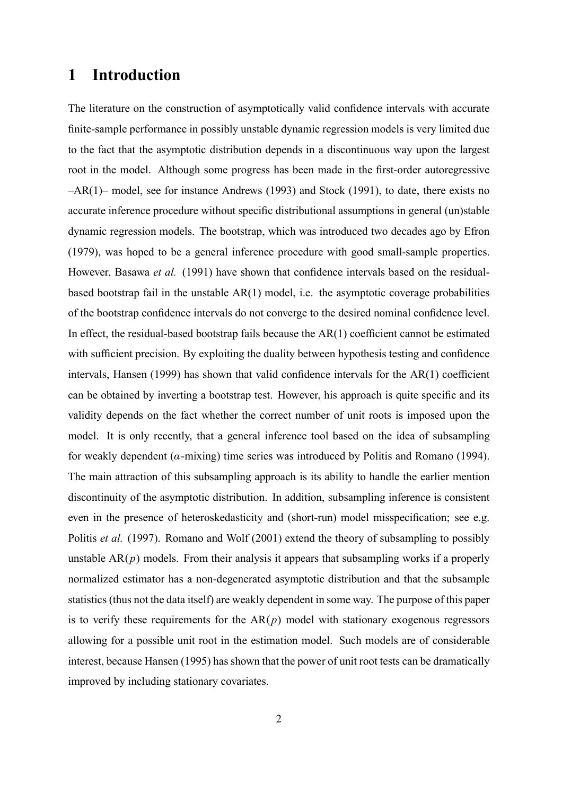#### **1 Introduction**

The literature on the construction of asymptotically valid confidence intervals with accurate finite-sample performance in possibly unstable dynamic regression models is very limited due to the fact that the asymptotic distribution depends in a discontinuous way upon the largest root in the model. Although some progress has been made in the first-order autoregressive  $AR(1)$ – model, see for instance Andrews (1993) and Stock (1991), to date, there exists no accurate inference procedure without specific distributional assumptions in general (un)stable dynamic regression models. The bootstrap, which was introduced two decades ago by Efron (1979), was hoped to be a general inference procedure with good small-sample properties. However, Basawa *et al.* (1991) have shown that confidence intervals based on the residualbased bootstrap fail in the unstable AR(1) model, i.e. the asymptotic coverage probabilities of the bootstrap confidence intervals do not converge to the desired nominal confidence level. In effect, the residual-based bootstrap fails because the  $AR(1)$  coefficient cannot be estimated with sufficient precision. By exploiting the duality between hypothesis testing and confidence intervals, Hansen (1999) has shown that valid confidence intervals for the AR(1) coefficient can be obtained by inverting a bootstrap test. However, his approach is quite specific and its validity depends on the fact whether the correct number of unit roots is imposed upon the model. It is only recently, that a general inference tool based on the idea of subsampling for weakly dependent ( $\alpha$ -mixing) time series was introduced by Politis and Romano (1994). The main attraction of this subsampling approach is its ability to handle the earlier mention discontinuity of the asymptotic distribution. In addition, subsampling inference is consistent even in the presence of heteroskedasticity and (short-run) model misspecification; see e.g. Politis *et al.* (1997). Romano and Wolf (2001) extend the theory of subsampling to possibly unstable  $AR(p)$  models. From their analysis it appears that subsampling works if a properly normalized estimator has a non-degenerated asymptotic distribution and that the subsample statistics (thus not the data itself) are weakly dependent in some way. The purpose of this paper is to verify these requirements for the  $AR(p)$  model with stationary exogenous regressors allowing for a possible unit root in the estimation model. Such models are of considerable interest, because Hansen (1995) has shown that the power of unit root tests can be dramatically improved by including stationary covariates.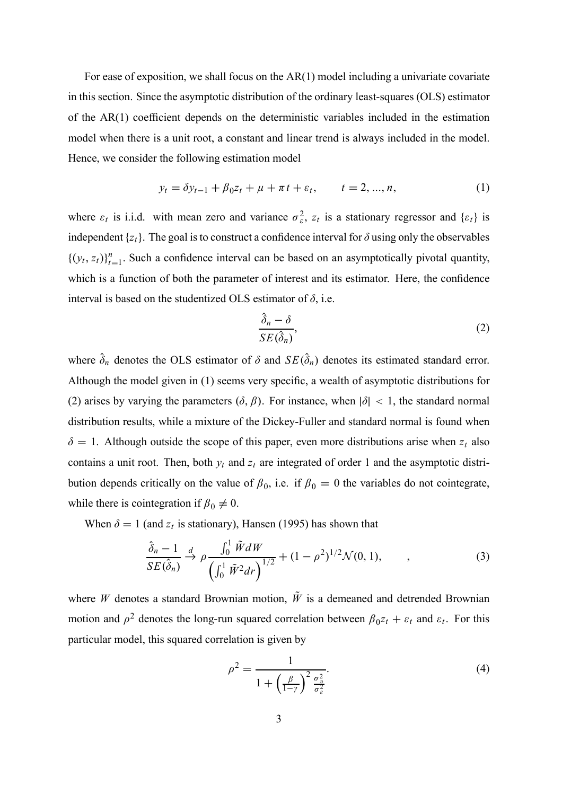For ease of exposition, we shall focus on the  $AR(1)$  model including a univariate covariate in this section. Since the asymptotic distribution of the ordinary least-squares (OLS) estimator of the AR(1) coefficient depends on the deterministic variables included in the estimation model when there is a unit root, a constant and linear trend is always included in the model. Hence, we consider the following estimation model

$$
y_t = \delta y_{t-1} + \beta_0 z_t + \mu + \pi t + \varepsilon_t, \qquad t = 2, ..., n,
$$
 (1)

where  $\varepsilon_t$  is i.i.d. with mean zero and variance  $\sigma_{\varepsilon}^2$ ,  $z_t$  is a stationary regressor and  $\{\varepsilon_t\}$  is independent  $\{z_t\}$ . The goal is to construct a confidence interval for  $\delta$  using only the observables  $\{(y_t, z_t)\}_{t=1}^n$ . Such a confidence interval can be based on an asymptotically pivotal quantity, which is a function of both the parameter of interest and its estimator. Here, the confidence interval is based on the studentized OLS estimator of  $\delta$ , i.e.

$$
\frac{\hat{\delta}_n - \delta}{SE(\hat{\delta}_n)},\tag{2}
$$

where  $\hat{\delta}_n$  denotes the OLS estimator of  $\delta$  and  $SE(\hat{\delta}_n)$  denotes its estimated standard error. Although the model given in (1) seems very specific, a wealth of asymptotic distributions for (2) arises by varying the parameters  $(\delta, \beta)$ . For instance, when  $|\delta| < 1$ , the standard normal distribution results, while a mixture of the Dickey-Fuller and standard normal is found when  $\delta = 1$ . Although outside the scope of this paper, even more distributions arise when  $z_t$  also contains a unit root. Then, both  $y_t$  and  $z_t$  are integrated of order 1 and the asymptotic distribution depends critically on the value of  $\beta_0$ , i.e. if  $\beta_0 = 0$  the variables do not cointegrate, while there is cointegration if  $\beta_0 \neq 0$ .

When  $\delta = 1$  (and  $z_t$  is stationary), Hansen (1995) has shown that

$$
\frac{\hat{\delta}_n - 1}{SE(\hat{\delta}_n)} \stackrel{d}{\to} \rho \frac{\int_0^1 \tilde{W} dW}{\left(\int_0^1 \tilde{W}^2 dr\right)^{1/2}} + (1 - \rho^2)^{1/2} \mathcal{N}(0, 1), \qquad , \tag{3}
$$

where *W* denotes a standard Brownian motion,  $\tilde{W}$  is a demeaned and detrended Brownian motion and  $\rho^2$  denotes the long-run squared correlation between  $\beta_0 z_t + \varepsilon_t$  and  $\varepsilon_t$ . For this particular model, this squared correlation is given by

$$
\rho^2 = \frac{1}{1 + \left(\frac{\beta}{1 - \gamma}\right)^2 \frac{\sigma_v^2}{\sigma_z^2}}.\tag{4}
$$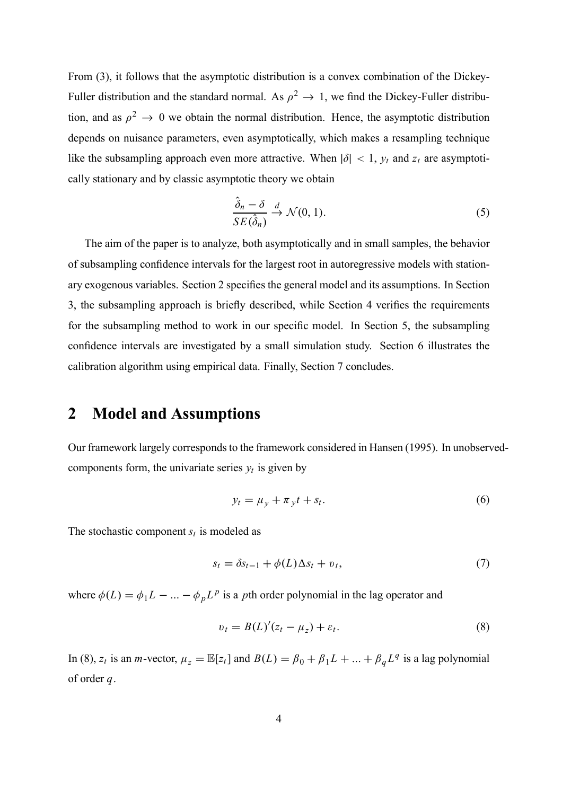From (3), it follows that the asymptotic distribution is a convex combination of the Dickey-Fuller distribution and the standard normal. As  $\rho^2 \rightarrow 1$ , we find the Dickey-Fuller distribution, and as  $\rho^2 \to 0$  we obtain the normal distribution. Hence, the asymptotic distribution depends on nuisance parameters, even asymptotically, which makes a resampling technique like the subsampling approach even more attractive. When  $|\delta| < 1$ ,  $y_t$  and  $z_t$  are asymptotically stationary and by classic asymptotic theory we obtain

$$
\frac{\hat{\delta}_n - \delta}{SE(\hat{\delta}_n)} \stackrel{d}{\to} \mathcal{N}(0, 1). \tag{5}
$$

The aim of the paper is to analyze, both asymptotically and in small samples, the behavior of subsampling confidence intervals for the largest root in autoregressive models with stationary exogenous variables. Section 2 specifies the general model and its assumptions. In Section 3, the subsampling approach is briefly described, while Section 4 verifies the requirements for the subsampling method to work in our specific model. In Section 5, the subsampling confidence intervals are investigated by a small simulation study. Section 6 illustrates the calibration algorithm using empirical data. Finally, Section 7 concludes.

## **2 Model and Assumptions**

Our framework largely corresponds to the framework considered in Hansen (1995). In unobservedcomponents form, the univariate series  $y_t$  is given by

$$
y_t = \mu_y + \pi_y t + s_t. \tag{6}
$$

The stochastic component  $s_t$  is modeled as

$$
s_t = \delta s_{t-1} + \phi(L)\Delta s_t + v_t,\tag{7}
$$

where  $\phi(L) = \phi_1 L - \dots - \phi_p L^p$  is a *p*th order polynomial in the lag operator and

$$
v_t = B(L)'(z_t - \mu_z) + \varepsilon_t.
$$
\n(8)

In (8),  $z_t$  is an *m*-vector,  $\mu_z = \mathbb{E}[z_t]$  and  $B(L) = \beta_0 + \beta_1 L + \ldots + \beta_q L^q$  is a lag polynomial of order *q*.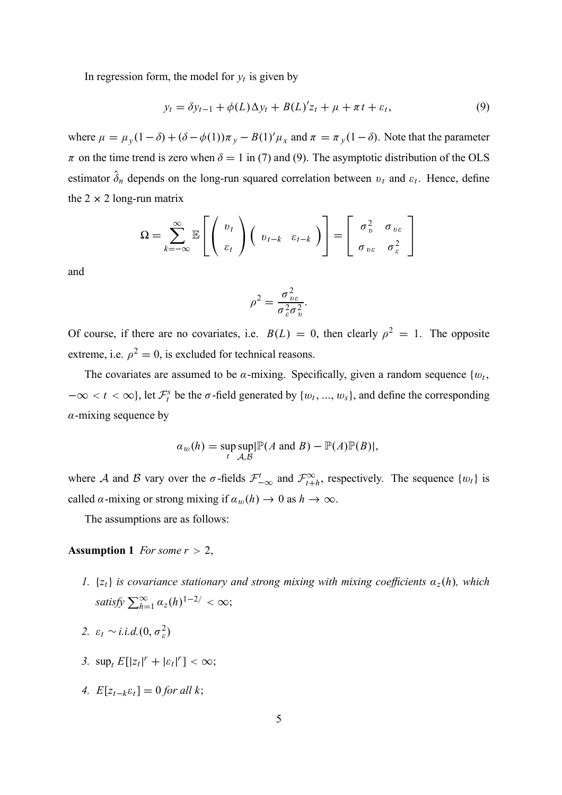In regression form, the model for  $y_t$  is given by

$$
y_t = \delta y_{t-1} + \phi(L)\Delta y_t + B(L)'z_t + \mu + \pi t + \varepsilon_t,
$$
\n(9)

where  $\mu = \mu_y(1-\delta) + (\delta - \phi(1))\pi_y - B(1)'\mu_x$  and  $\pi = \pi_y(1-\delta)$ . Note that the parameter  $\pi$  on the time trend is zero when  $\delta = 1$  in (7) and (9). The asymptotic distribution of the OLS estimator  $\hat{\delta}_n$  depends on the long-run squared correlation between  $v_t$  and  $\varepsilon_t$ . Hence, define the  $2 \times 2$  long-run matrix

$$
\Omega = \sum_{k=-\infty}^{\infty} \mathbb{E}\left[\left(\begin{array}{c} v_t \\ \varepsilon_t \end{array}\right) \left(\begin{array}{cc} v_{t-k} & \varepsilon_{t-k} \end{array}\right)\right] = \left[\begin{array}{cc} \sigma_v^2 & \sigma_{v\varepsilon} \\ \sigma_{v\varepsilon} & \sigma_{\varepsilon}^2 \end{array}\right]
$$

and

$$
\rho^2 = \frac{\sigma_{v\varepsilon}^2}{\sigma_{\varepsilon}^2 \sigma_v^2}.
$$

Of course, if there are no covariates, i.e.  $B(L) = 0$ , then clearly  $\rho^2 = 1$ . The opposite extreme, i.e.  $\rho^2 = 0$ , is excluded for technical reasons.

The covariates are assumed to be  $\alpha$ -mixing. Specifically, given a random sequence  $\{w_t,$  $-\infty < t < \infty$ }, let  $\mathcal{F}^s_t$  be the  $\sigma$ -field generated by  $\{w_t, ..., w_s\}$ , and define the corresponding  $\alpha$ -mixing sequence by

$$
a_w(h) = \sup_t \sup_{A,B} [\mathbb{P}(A \text{ and } B) - \mathbb{P}(A)\mathbb{P}(B)],
$$

where A and B vary over the  $\sigma$ -fields  $\mathcal{F}_{-\infty}^t$  and  $\mathcal{F}_{t+h}^{\infty}$ , respectively. The sequence  $\{w_t\}$  is called  $\alpha$ -mixing or strong mixing if  $\alpha_w(h) \to 0$  as  $h \to \infty$ .

The assumptions are as follows:

**Assumption 1** *For some*  $r > 2$ *,* 

- *1.*  $\{z_t\}$  *is covariance stationary and strong mixing with mixing coefficients*  $\alpha_z(h)$ *, which*  $satisfy$   $\sum_{h=1}^{\infty} a_z(h)^{1-2/} < \infty;$
- 2.  $\varepsilon_t \sim i.i.d. (0, \sigma_{\varepsilon}^2)$
- *3.*  $\sup_t E[|z_t|^r + |\varepsilon_t|^r] < \infty;$
- *4.*  $E[z_{t-k}\varepsilon_t] = 0$  *for all k*;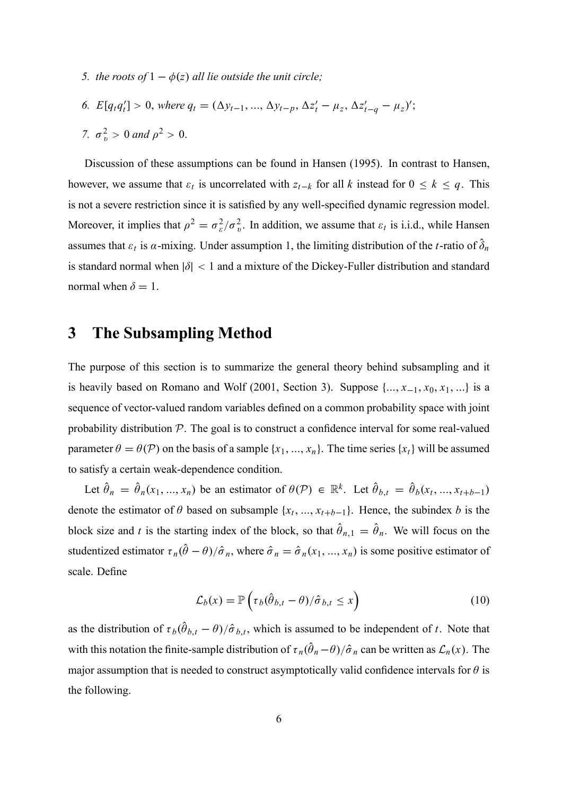- *5. the roots of*  $1 \phi(z)$  *all lie outside the unit circle;*
- *6.*  $E[q_t q'_t] > 0$ , where  $q_t = (\Delta y_{t-1}, ..., \Delta y_{t-p}, \Delta z'_t \mu_z, \Delta z'_{t-q} \mu_z)$ ';
- *7.*  $\sigma_v^2 > 0$  *and*  $\rho^2 > 0$ .

Discussion of these assumptions can be found in Hansen (1995). In contrast to Hansen, however, we assume that  $\varepsilon_t$  is uncorrelated with  $z_{t-k}$  for all *k* instead for  $0 \leq k \leq q$ . This is not a severe restriction since it is satisfied by any well-specified dynamic regression model. Moreover, it implies that  $\rho^2 = \sigma_{\varepsilon}^2 / \sigma_v^2$ . In addition, we assume that  $\varepsilon_t$  is i.i.d., while Hansen assumes that  $\varepsilon_t$  is  $\alpha$ -mixing. Under assumption 1, the limiting distribution of the *t*-ratio of  $\hat{\delta}_n$ is standard normal when  $|\delta|$  < 1 and a mixture of the Dickey-Fuller distribution and standard normal when  $\delta = 1$ .

### **3 The Subsampling Method**

The purpose of this section is to summarize the general theory behind subsampling and it is heavily based on Romano and Wolf (2001, Section 3). Suppose  $\{..., x_{-1}, x_0, x_1, ...\}$  is a sequence of vector-valued random variables defined on a common probability space with joint probability distribution  $P$ . The goal is to construct a confidence interval for some real-valued parameter  $\theta = \theta(\mathcal{P})$  on the basis of a sample {*x*<sub>1</sub>, ..., *x<sub>n</sub>*}. The time series {*x<sub>t</sub>*} will be assumed to satisfy a certain weak-dependence condition.

Let  $\hat{\theta}_n = \hat{\theta}_n(x_1, ..., x_n)$  be an estimator of  $\theta(\mathcal{P}) \in \mathbb{R}^k$ . Let  $\hat{\theta}_{b,t} = \hat{\theta}_b(x_t, ..., x_{t+b-1})$ denote the estimator of  $\theta$  based on subsample  $\{x_t, ..., x_{t+b-1}\}$ . Hence, the subindex *b* is the block size and *t* is the starting index of the block, so that  $\hat{\theta}_{n,1} = \hat{\theta}_n$ . We will focus on the studentized estimator  $\tau_n(\hat{\theta} - \theta)/\hat{\sigma}_n$ , where  $\hat{\sigma}_n = \hat{\sigma}_n(x_1, ..., x_n)$  is some positive estimator of scale. Define

$$
\mathcal{L}_b(x) = \mathbb{P}\left(\tau_b(\hat{\theta}_{b,t} - \theta)/\hat{\sigma}_{b,t} \le x\right)
$$
 (10)

as the distribution of  $\tau_b(\hat{\theta}_{b,t} - \theta)/\hat{\sigma}_{b,t}$ , which is assumed to be independent of *t*. Note that with this notation the finite-sample distribution of  $\tau_n(\hat{\theta}_n - \theta)/\hat{\sigma}_n$  can be written as  $\mathcal{L}_n(x)$ . The major assumption that is needed to construct asymptotically valid confidence intervals for  $\theta$  is the following.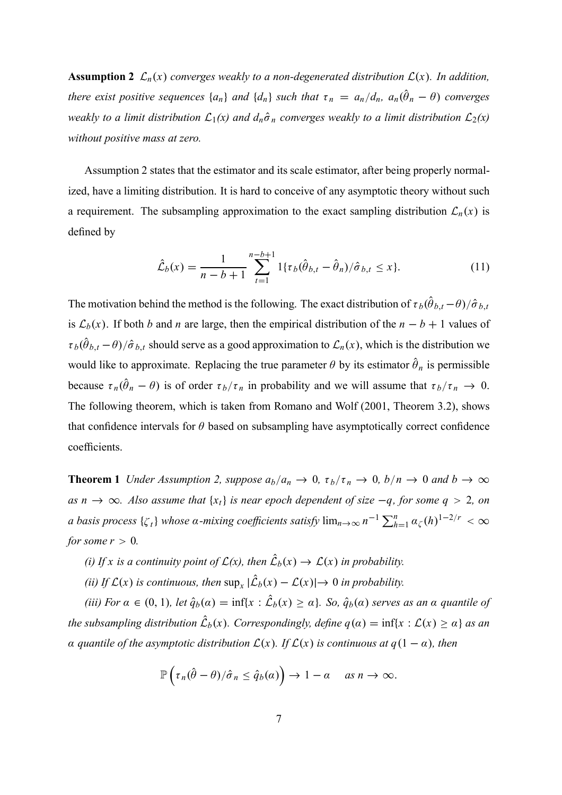**Assumption 2**  $\mathcal{L}_n(x)$  *converges weakly to a non-degenerated distribution*  $\mathcal{L}(x)$ *. In addition, there exist positive sequences*  $\{a_n\}$  *and*  $\{d_n\}$  *such that*  $\tau_n = a_n/d_n$ ,  $a_n(\hat{\theta}_n - \theta)$  *converges weakly to a limit distribution*  $\mathcal{L}_1(x)$  *and*  $d_n \hat{\sigma}_n$  *converges weakly to a limit distribution*  $\mathcal{L}_2(x)$ *without positive mass at zero.*

Assumption 2 states that the estimator and its scale estimator, after being properly normalized, have a limiting distribution. It is hard to conceive of any asymptotic theory without such a requirement. The subsampling approximation to the exact sampling distribution  $\mathcal{L}_n(x)$  is defined by

$$
\hat{\mathcal{L}}_b(x) = \frac{1}{n - b + 1} \sum_{t=1}^{n-b+1} 1\{\tau_b(\hat{\theta}_{b,t} - \hat{\theta}_n)/\hat{\sigma}_{b,t} \le x\}.
$$
\n(11)

The motivation behind the method is the following. The exact distribution of  $\tau_b(\hat{\theta}_{b,t} - \theta)/\hat{\sigma}_{b,t}$ is  $\mathcal{L}_b(x)$ . If both *b* and *n* are large, then the empirical distribution of the  $n - b + 1$  values of  $\tau_b(\hat{\theta}_{b,t} - \theta)/\hat{\sigma}_{b,t}$  should serve as a good approximation to  $\mathcal{L}_n(x)$ , which is the distribution we would like to approximate. Replacing the true parameter  $\theta$  by its estimator  $\hat{\theta}_n$  is permissible because  $\tau_n(\hat{\theta}_n - \theta)$  is of order  $\tau_b/\tau_n$  in probability and we will assume that  $\tau_b/\tau_n \to 0$ . The following theorem, which is taken from Romano and Wolf (2001, Theorem 3.2), shows that confidence intervals for  $\theta$  based on subsampling have asymptotically correct confidence coefficients.

**Theorem 1** *Under Assumption 2, suppose*  $a_b/a_n \to 0$ *,*  $\tau_b/\tau_n \to 0$ *,*  $b/n \to 0$  *and*  $b \to \infty$ *as*  $n \rightarrow ∞$ *. Also assume that*  $\{x_t\}$  *is near epoch dependent of size*  $-q$ *, for some*  $q > 2$ *, on a* basis process  $\{\zeta_t\}$  whose  $\alpha$ -mixing coefficients satisfy  $\lim_{n\to\infty} n^{-1} \sum_{h=1}^n a_{\zeta}(h)^{1-2/r} < \infty$ *for some*  $r > 0$ *.* 

*(i)* If x is a continuity point of  $\mathcal{L}(x)$ , then  $\hat{\mathcal{L}}_b(x) \to \mathcal{L}(x)$  in probability.

*(ii) If*  $\mathcal{L}(x)$  *is continuous, then*  $\sup_x |\hat{\mathcal{L}}_b(x) - \mathcal{L}(x)| \to 0$  *in probability.* 

 $(iii)$  For  $\alpha \in (0, 1)$ , let  $\hat{q}_b(\alpha) = \inf\{x : \mathcal{L}_b(x) \ge \alpha\}$ . So,  $\hat{q}_b(\alpha)$  serves as an  $\alpha$  quantile of *the subsampling distribution*  $\hat{\mathcal{L}}_b(x)$ *. Correspondingly, define*  $q(a) = \inf\{x : \mathcal{L}(x) \geq a\}$  *as an* a quantile of the asymptotic distribution  $\mathcal{L}(x)$ *. If*  $\mathcal{L}(x)$  *is continuous at*  $q(1 - \alpha)$ *, then* 

$$
\mathbb{P}\left(\tau_n(\hat{\theta}-\theta)/\hat{\sigma}_n\leq \hat{q}_b(\alpha)\right)\to 1-\alpha \quad \text{as } n\to\infty.
$$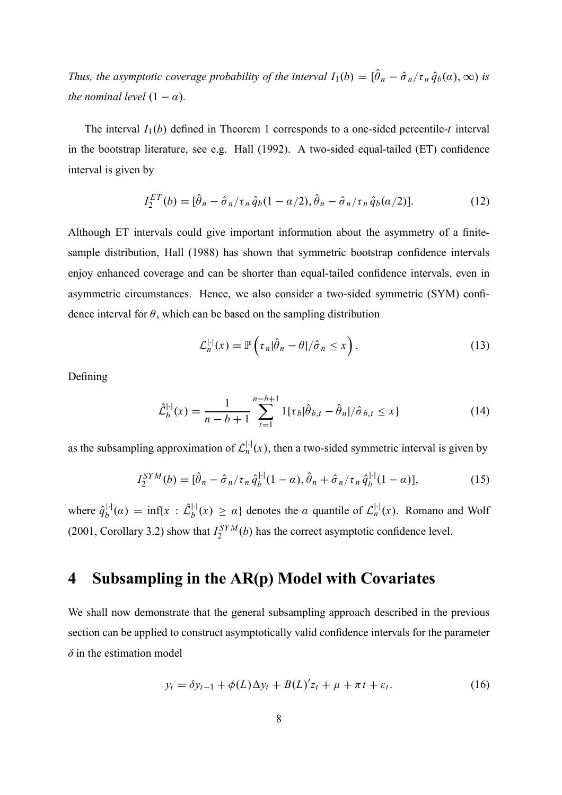*Thus, the asymptotic coverage probability of the interval*  $I_1(b) = [\hat{\theta}_n - \hat{\sigma}_n/\tau_n \hat{q}_b(a), \infty)$  *is the nominal level*  $(1 - \alpha)$ *.* 

The interval *I*1(*b*) defined in Theorem 1 corresponds to a one-sided percentile-*t* interval in the bootstrap literature, see e.g. Hall (1992). A two-sided equal-tailed (ET) confidence interval is given by

$$
I_2^{ET}(b) = [\hat{\theta}_n - \hat{\sigma}_n/\tau_n \hat{q}_b (1 - \alpha/2), \hat{\theta}_n - \hat{\sigma}_n/\tau_n \hat{q}_b (\alpha/2)].
$$
 (12)

Although ET intervals could give important information about the asymmetry of a finitesample distribution, Hall (1988) has shown that symmetric bootstrap confidence intervals enjoy enhanced coverage and can be shorter than equal-tailed confidence intervals, even in asymmetric circumstances. Hence, we also consider a two-sided symmetric (SYM) confidence interval for  $\theta$ , which can be based on the sampling distribution

$$
\mathcal{L}_n^{|\cdot|}(x) = \mathbb{P}\left(\tau_n|\hat{\theta}_n - \theta|/\hat{\sigma}_n \le x\right). \tag{13}
$$

Defining

$$
\hat{\mathcal{L}}_b^{|\cdot|}(x) = \frac{1}{n - b + 1} \sum_{t=1}^{n - b + 1} 1\{\tau_b|\hat{\theta}_{b,t} - \hat{\theta}_n|/\hat{\sigma}_{b,t} \le x\}
$$
(14)

as the subsampling approximation of  $\mathcal{L}_n^{\dagger}(\mathbf{x})$ , then a two-sided symmetric interval is given by

$$
I_2^{SYM}(b) = [\hat{\theta}_n - \hat{\sigma}_n/\tau_n \hat{q}_b^{|\cdot|}(1-\alpha), \hat{\theta}_n + \hat{\sigma}_n/\tau_n \hat{q}_b^{|\cdot|}(1-\alpha)],
$$
\n(15)

where  $\hat{q}_b^{\dagger}(\alpha) = \inf\{x : \hat{\mathcal{L}}_b^{\dagger}(\alpha) \ge \alpha\}$  denotes the  $\alpha$  quantile of  $\hat{\mathcal{L}}_n^{\dagger}(\alpha)$ . Romano and Wolf (2001, Corollary 3.2) show that  $I_2^{SYM}(b)$  has the correct asymptotic confidence level.

## **4 Subsampling in the AR(p) Model with Covariates**

We shall now demonstrate that the general subsampling approach described in the previous section can be applied to construct asymptotically valid confidence intervals for the parameter  $\delta$  in the estimation model

$$
y_t = \delta y_{t-1} + \phi(L)\Delta y_t + B(L)'z_t + \mu + \pi t + \varepsilon_t.
$$
 (16)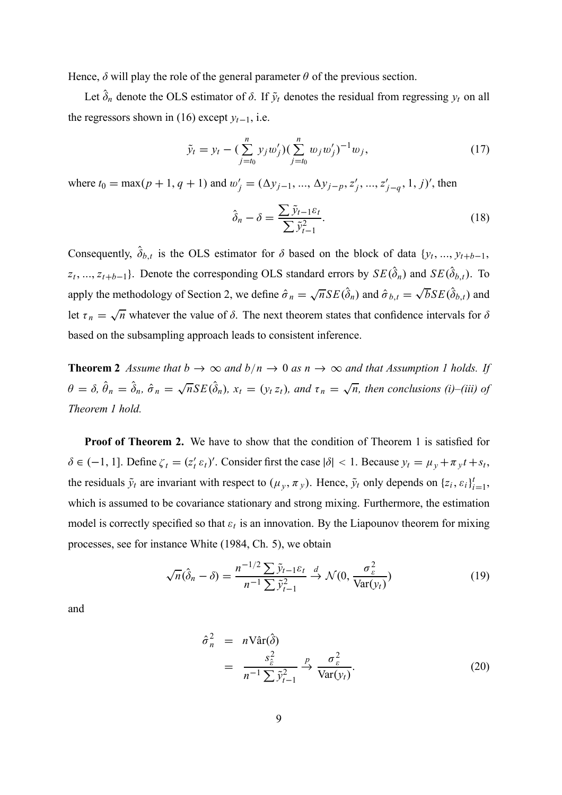Hence,  $\delta$  will play the role of the general parameter  $\theta$  of the previous section.

Let  $\hat{\delta}_n$  denote the OLS estimator of  $\delta$ . If  $\tilde{y}_t$  denotes the residual from regressing  $y_t$  on all the regressors shown in (16) except  $y_{t-1}$ , i.e.

$$
\tilde{y}_t = y_t - \left(\sum_{j=t_0}^n y_j w_j'\right) \left(\sum_{j=t_0}^n w_j w_j'\right)^{-1} w_j,\tag{17}
$$

where  $t_0 = \max(p+1, q+1)$  and  $w'_j = (\Delta y_{j-1}, ..., \Delta y_{j-p}, z'_j, ..., z'_{j-q}, 1, j)'$ , then

$$
\hat{\delta}_n - \delta = \frac{\sum \tilde{y}_{t-1} \varepsilon_t}{\sum \tilde{y}_{t-1}^2}.
$$
\n(18)

Consequently,  $\hat{\delta}_{b,t}$  is the OLS estimator for  $\delta$  based on the block of data {*y<sub>t</sub>*, ..., *y<sub>t+b−1</sub>*, *z<sub>t</sub>*, ..., *z*<sub>t+*b*−1</sub>}. Denote the corresponding OLS standard errors by *SE*( $\hat{\delta}_n$ ) and *SE*( $\hat{\delta}_{b,t}$ ). To apply the methodology of Section 2, we define  $\hat{\sigma}_n = \sqrt{n} SE(\hat{\delta}_n)$  and  $\hat{\sigma}_{b,t} = \sqrt{b} SE(\hat{\delta}_{b,t})$  and let  $\tau_n = \sqrt{n}$  whatever the value of  $\delta$ . The next theorem states that confidence intervals for  $\delta$ based on the subsampling approach leads to consistent inference.

**Theorem 2** *Assume that b*  $\rightarrow \infty$  *and b*/*n*  $\rightarrow 0$  *as n*  $\rightarrow \infty$  *and that Assumption 1 holds. If*  $\theta = \delta$ ,  $\hat{\theta}_n = \hat{\delta}_n$ ,  $\hat{\sigma}_n = \sqrt{n} SE(\hat{\delta}_n)$ ,  $x_t = (y_t z_t)$ , and  $\tau_n = \sqrt{n}$ , then conclusions (i)–(iii) of *Theorem 1 hold.*

**Proof of Theorem 2.** We have to show that the condition of Theorem 1 is satisfied for  $\delta \in (-1, 1]$ . Define  $\zeta_t = (z_t' \varepsilon_t)'$ . Consider first the case  $|\delta| < 1$ . Because  $y_t = \mu_y + \pi_y t + s_t$ , the residuals  $\tilde{y}_t$  are invariant with respect to  $(\mu_y, \pi_y)$ . Hence,  $\tilde{y}_t$  only depends on  $\{z_i, \varepsilon_i\}_{i=1}^t$ , which is assumed to be covariance stationary and strong mixing. Furthermore, the estimation model is correctly specified so that  $\varepsilon_t$  is an innovation. By the Liapounov theorem for mixing processes, see for instance White (1984, Ch. 5), we obtain

$$
\sqrt{n}(\hat{\delta}_n - \delta) = \frac{n^{-1/2} \sum \tilde{y}_{t-1} \varepsilon_t}{n^{-1} \sum \tilde{y}_{t-1}^2} \stackrel{d}{\to} \mathcal{N}(0, \frac{\sigma_{\varepsilon}^2}{\text{Var}(y_t)})
$$
(19)

and

$$
\hat{\sigma}_n^2 = n \text{Var}(\hat{\delta})
$$
\n
$$
= \frac{s_{\hat{\epsilon}}^2}{n^{-1} \sum \tilde{y}_{t-1}^2} \xrightarrow{p} \frac{\sigma_{\epsilon}^2}{\text{Var}(y_t)}.
$$
\n(20)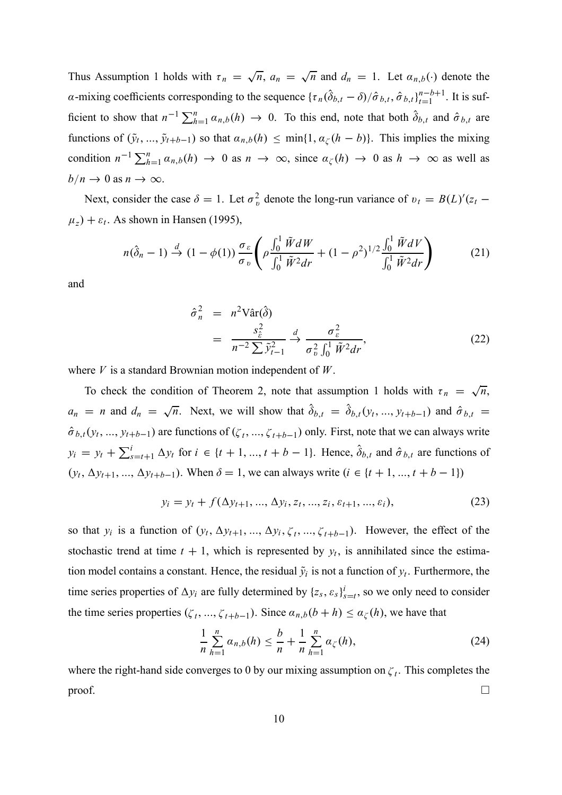Thus Assumption 1 holds with  $\tau_n = \sqrt{n}$ ,  $a_n = \sqrt{n}$  and  $d_n = 1$ . Let  $a_{n,b}(\cdot)$  denote the α-mixing coefficients corresponding to the sequence  $\{\tau_n(\hat{\delta}_{b,t} - \delta)/\hat{\sigma}_{b,t}, \hat{\sigma}_{b,t}\}_{t=1}^{n-b+1}$ . It is sufficient to show that  $n^{-1} \sum_{h=1}^{n} a_{n,b}(h) \to 0$ . To this end, note that both  $\hat{\delta}_{b,t}$  and  $\hat{\sigma}_{b,t}$  are functions of  $(\tilde{y}_t, ..., \tilde{y}_{t+b-1})$  so that  $\alpha_{n,b}(h) \le \min\{1, \alpha_{\zeta}(h-b)\}\)$ . This implies the mixing condition  $n^{-1} \sum_{h=1}^{n} a_{n,b}(h) \to 0$  as  $n \to \infty$ , since  $a_{\zeta}(h) \to 0$  as  $h \to \infty$  as well as  $b/n \to 0$  as  $n \to \infty$ .

Next, consider the case  $\delta = 1$ . Let  $\sigma_v^2$  denote the long-run variance of  $v_t = B(L)'(z_t \mu_z$ ) +  $\varepsilon_t$ . As shown in Hansen (1995),

$$
n(\hat{\delta}_n - 1) \stackrel{d}{\to} (1 - \phi(1)) \frac{\sigma_{\varepsilon}}{\sigma_v} \left( \rho \frac{\int_0^1 \tilde{W} dW}{\int_0^1 \tilde{W}^2 dr} + (1 - \rho^2)^{1/2} \frac{\int_0^1 \tilde{W} dV}{\int_0^1 \tilde{W}^2 dr} \right) \tag{21}
$$

and

$$
\hat{\sigma}_n^2 = n^2 \text{Var}(\hat{\delta})
$$
\n
$$
= \frac{s_{\hat{\epsilon}}^2}{n^{-2} \sum \tilde{y}_{t-1}^2} \xrightarrow{d} \frac{\sigma_{\epsilon}^2}{\sigma_v^2 \int_0^1 \tilde{W}^2 dr},
$$
\n(22)

where *V* is a standard Brownian motion independent of *W*.

To check the condition of Theorem 2, note that assumption 1 holds with  $\tau_n = \sqrt{n}$ ,  $a_n = n$  and  $d_n = \sqrt{n}$ . Next, we will show that  $\hat{\delta}_{b,t} = \hat{\delta}_{b,t}(y_t, ..., y_{t+b-1})$  and  $\hat{\sigma}_{b,t}$  $\hat{\sigma}_{b,t}(y_t, ..., y_{t+b-1})$  are functions of  $(\zeta_t, ..., \zeta_{t+b-1})$  only. First, note that we can always write  $y_i = y_t + \sum_{s=t+1}^i \Delta y_t$  for  $i \in \{t+1, ..., t+b-1\}$ . Hence,  $\hat{\delta}_{b,t}$  and  $\hat{\sigma}_{b,t}$  are functions of  $(y_t, \Delta y_{t+1}, ..., \Delta y_{t+b-1})$ . When  $\delta = 1$ , we can always write  $(i \in \{t+1, ..., t+b-1\})$ 

$$
y_i = y_t + f(\Delta y_{t+1}, ..., \Delta y_i, z_t, ..., z_i, \varepsilon_{t+1}, ..., \varepsilon_i),
$$
\n(23)

so that  $y_i$  is a function of  $(y_t, \Delta y_{t+1}, ..., \Delta y_i, \zeta_t, ..., \zeta_{t+b-1})$ . However, the effect of the stochastic trend at time  $t + 1$ , which is represented by  $y_t$ , is annihilated since the estimation model contains a constant. Hence, the residual  $\tilde{y}_i$  is not a function of  $y_t$ . Furthermore, the time series properties of  $\Delta y_i$  are fully determined by  $\{z_s, \varepsilon_s\}_{s=t}^i$ , so we only need to consider the time series properties  $(\zeta_t, ..., \zeta_{t+b-1})$ . Since  $\alpha_{n,b}(b+h) \leq \alpha_{\zeta}(h)$ , we have that

$$
\frac{1}{n}\sum_{h=1}^{n}a_{n,b}(h)\leq \frac{b}{n}+\frac{1}{n}\sum_{h=1}^{n}a_{\zeta}(h),
$$
\n(24)

where the right-hand side converges to 0 by our mixing assumption on  $\zeta_t$ . This completes the proof.  $\Box$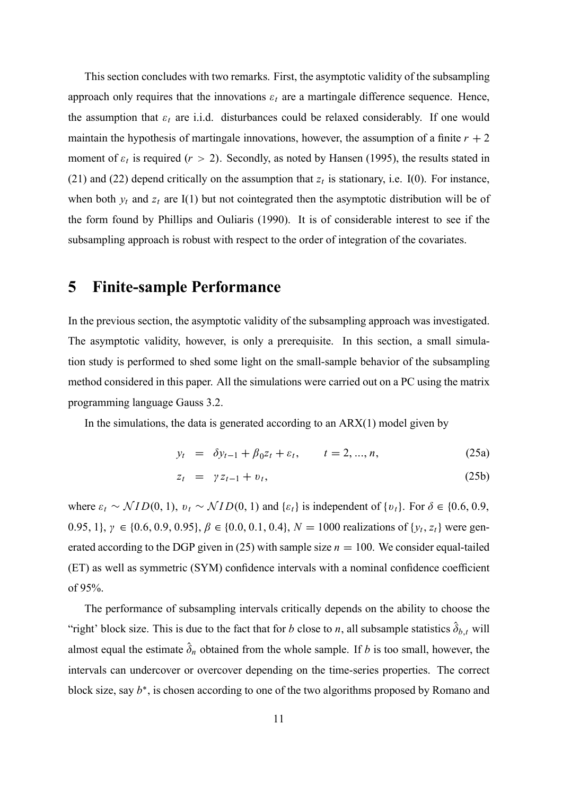This section concludes with two remarks. First, the asymptotic validity of the subsampling approach only requires that the innovations  $\varepsilon_t$  are a martingale difference sequence. Hence, the assumption that  $\varepsilon_t$  are i.i.d. disturbances could be relaxed considerably. If one would maintain the hypothesis of martingale innovations, however, the assumption of a finite  $r + 2$ moment of  $\varepsilon_t$  is required ( $r > 2$ ). Secondly, as noted by Hansen (1995), the results stated in (21) and (22) depend critically on the assumption that  $z_t$  is stationary, i.e. I(0). For instance, when both  $y_t$  and  $z_t$  are I(1) but not cointegrated then the asymptotic distribution will be of the form found by Phillips and Ouliaris (1990). It is of considerable interest to see if the subsampling approach is robust with respect to the order of integration of the covariates.

## **5 Finite-sample Performance**

In the previous section, the asymptotic validity of the subsampling approach was investigated. The asymptotic validity, however, is only a prerequisite. In this section, a small simulation study is performed to shed some light on the small-sample behavior of the subsampling method considered in this paper. All the simulations were carried out on a PC using the matrix programming language Gauss 3.2.

In the simulations, the data is generated according to an  $ARX(1)$  model given by

$$
y_t = \delta y_{t-1} + \beta_0 z_t + \varepsilon_t, \qquad t = 2, ..., n,
$$
 (25a)

$$
z_t = \gamma z_{t-1} + v_t, \tag{25b}
$$

where  $\varepsilon_t \sim NID(0, 1)$ ,  $v_t \sim NID(0, 1)$  and  $\{\varepsilon_t\}$  is independent of  $\{v_t\}$ . For  $\delta \in \{0.6, 0.9,$ 0.95, 1},  $\gamma \in \{0.6, 0.9, 0.95\}, \beta \in \{0.0, 0.1, 0.4\}, N = 1000$  realizations of  $\{y_t, z_t\}$  were generated according to the DGP given in (25) with sample size  $n = 100$ . We consider equal-tailed (ET) as well as symmetric (SYM) confidence intervals with a nominal confidence coefficient of 95%.

The performance of subsampling intervals critically depends on the ability to choose the "right' block size. This is due to the fact that for *b* close to *n*, all subsample statistics  $\hat{\delta}_{b,t}$  will almost equal the estimate  $\hat{\delta}_n$  obtained from the whole sample. If *b* is too small, however, the intervals can undercover or overcover depending on the time-series properties. The correct block size, say *b*∗, is chosen according to one of the two algorithms proposed by Romano and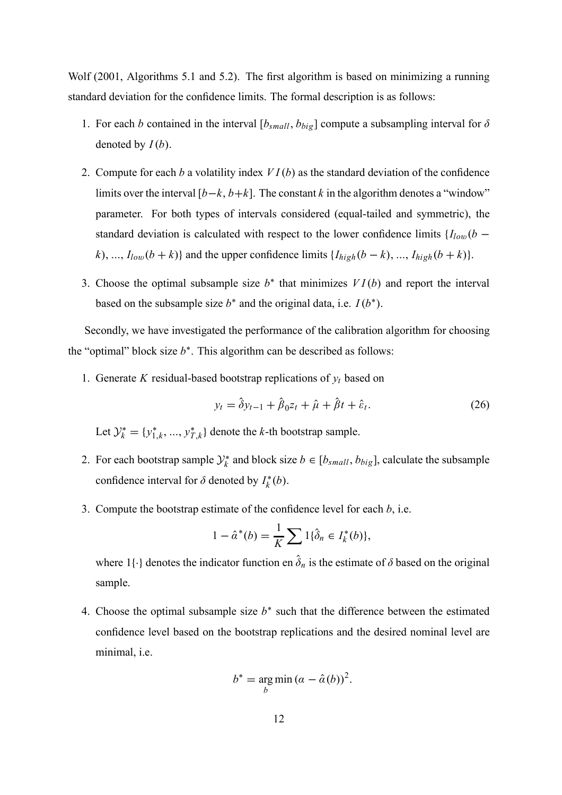Wolf (2001, Algorithms 5.1 and 5.2). The first algorithm is based on minimizing a running standard deviation for the confidence limits. The formal description is as follows:

- 1. For each *b* contained in the interval  $[b_{small}, b_{big}]$  compute a subsampling interval for  $\delta$ denoted by *I*(*b*).
- 2. Compute for each *b* a volatility index *V I*(*b*) as the standard deviation of the confidence limits over the interval  $[b-k, b+k]$ . The constant *k* in the algorithm denotes a "window" parameter. For both types of intervals considered (equal-tailed and symmetric), the standard deviation is calculated with respect to the lower confidence limits  ${I_{low}(b - )}$ *k*), ...,  $I_{low}(b + k)$ } and the upper confidence limits  $\{I_{high}(b - k), \ldots, I_{high}(b + k)\}$ .
- 3. Choose the optimal subsample size *b*∗ that minimizes *V I*(*b*) and report the interval based on the subsample size  $b^*$  and the original data, i.e.  $I(b^*)$ .

Secondly, we have investigated the performance of the calibration algorithm for choosing the "optimal" block size  $b^*$ . This algorithm can be described as follows:

1. Generate *K* residual-based bootstrap replications of  $y_t$  based on

$$
y_t = \hat{\delta} y_{t-1} + \hat{\beta}_0 z_t + \hat{\mu} + \hat{\beta}_t + \hat{\varepsilon}_t.
$$
 (26)

Let  $\mathcal{Y}_{k}^{*} = \{y_{1,k}^{*}, ..., y_{T,k}^{*}\}\$  denote the *k*-th bootstrap sample.

- 2. For each bootstrap sample  $\mathcal{Y}_k^*$  and block size  $b \in [b_{small}, b_{big}]$ , calculate the subsample confidence interval for  $\delta$  denoted by  $I_k^*(b)$ .
- 3. Compute the bootstrap estimate of the confidence level for each *b*, i.e.

$$
1 - \hat{a}^*(b) = \frac{1}{K} \sum 1\{\hat{\delta}_n \in I_k^*(b)\},
$$

where 1 $\{\cdot\}$  denotes the indicator function en  $\hat{\delta}_n$  is the estimate of  $\delta$  based on the original sample.

4. Choose the optimal subsample size *b*∗ such that the difference between the estimated confidence level based on the bootstrap replications and the desired nominal level are minimal, i.e.

$$
b^* = \underset{b}{\arg\min} (a - \hat{a}(b))^2.
$$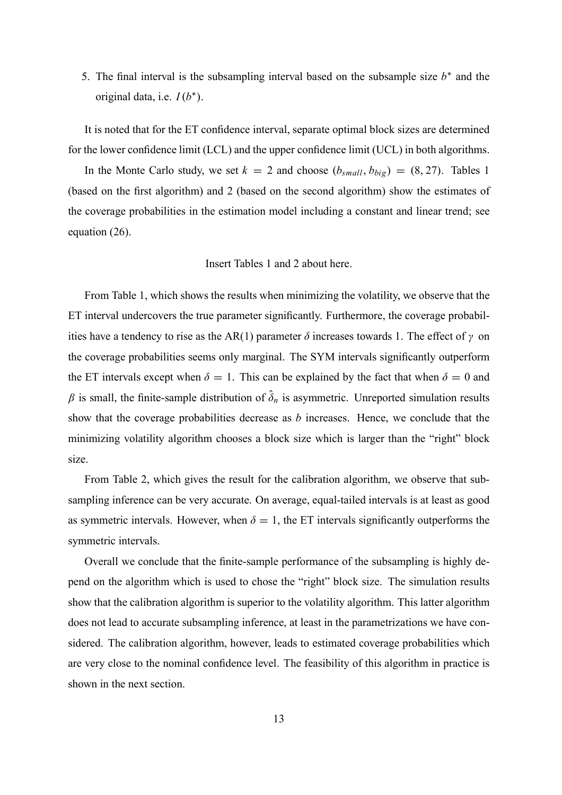5. The final interval is the subsampling interval based on the subsample size *b*∗ and the original data, i.e.  $I(b^*)$ .

It is noted that for the ET confidence interval, separate optimal block sizes are determined for the lower confidence limit (LCL) and the upper confidence limit (UCL) in both algorithms.

In the Monte Carlo study, we set  $k = 2$  and choose  $(b_{small}, b_{big}) = (8, 27)$ . Tables 1 (based on the first algorithm) and 2 (based on the second algorithm) show the estimates of the coverage probabilities in the estimation model including a constant and linear trend; see equation (26).

#### Insert Tables 1 and 2 about here.

From Table 1, which shows the results when minimizing the volatility, we observe that the ET interval undercovers the true parameter significantly. Furthermore, the coverage probabilities have a tendency to rise as the AR(1) parameter  $\delta$  increases towards 1. The effect of  $\gamma$  on the coverage probabilities seems only marginal. The SYM intervals significantly outperform the ET intervals except when  $\delta = 1$ . This can be explained by the fact that when  $\delta = 0$  and  $β$  is small, the finite-sample distribution of  $\hat{δ}_n$  is asymmetric. Unreported simulation results show that the coverage probabilities decrease as *b* increases. Hence, we conclude that the minimizing volatility algorithm chooses a block size which is larger than the "right" block size.

From Table 2, which gives the result for the calibration algorithm, we observe that subsampling inference can be very accurate. On average, equal-tailed intervals is at least as good as symmetric intervals. However, when  $\delta = 1$ , the ET intervals significantly outperforms the symmetric intervals.

Overall we conclude that the finite-sample performance of the subsampling is highly depend on the algorithm which is used to chose the "right" block size. The simulation results show that the calibration algorithm is superior to the volatility algorithm. This latter algorithm does not lead to accurate subsampling inference, at least in the parametrizations we have considered. The calibration algorithm, however, leads to estimated coverage probabilities which are very close to the nominal confidence level. The feasibility of this algorithm in practice is shown in the next section.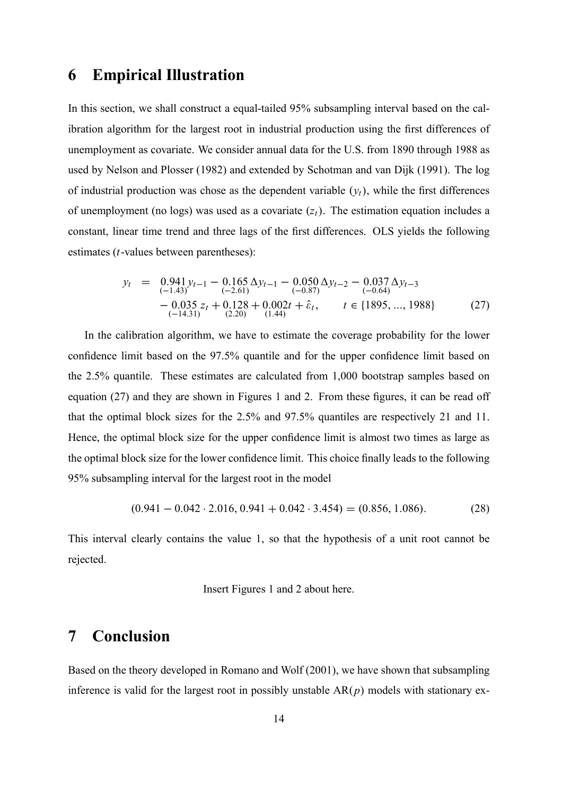#### **6 Empirical Illustration**

In this section, we shall construct a equal-tailed 95% subsampling interval based on the calibration algorithm for the largest root in industrial production using the first differences of unemployment as covariate. We consider annual data for the U.S. from 1890 through 1988 as used by Nelson and Plosser (1982) and extended by Schotman and van Dijk (1991). The log of industrial production was chose as the dependent variable  $(y_t)$ , while the first differences of unemployment (no logs) was used as a covariate  $(z_t)$ . The estimation equation includes a constant, linear time trend and three lags of the first differences. OLS yields the following estimates (*t*-values between parentheses):

$$
y_t = \underset{(-1.43)}{0.941} y_{t-1} - \underset{(-2.61)}{0.165} \Delta y_{t-1} - \underset{(-0.87)}{0.050} \Delta y_{t-2} - \underset{(-0.64)}{0.037} \Delta y_{t-3} - \underset{(-14.31)}{0.035} z_t + \underset{(2.20)}{0.128} + \underset{(1.44)}{0.002t} + \hat{\varepsilon}_t, \qquad t \in \{1895, ..., 1988\} \tag{27}
$$

In the calibration algorithm, we have to estimate the coverage probability for the lower confidence limit based on the 97.5% quantile and for the upper confidence limit based on the 2.5% quantile. These estimates are calculated from 1,000 bootstrap samples based on equation (27) and they are shown in Figures 1 and 2. From these figures, it can be read off that the optimal block sizes for the 2.5% and 97.5% quantiles are respectively 21 and 11. Hence, the optimal block size for the upper confidence limit is almost two times as large as the optimal block size for the lower confidence limit. This choice finally leads to the following 95% subsampling interval for the largest root in the model

$$
(0.941 - 0.042 \cdot 2.016, 0.941 + 0.042 \cdot 3.454) = (0.856, 1.086). \tag{28}
$$

This interval clearly contains the value 1, so that the hypothesis of a unit root cannot be rejected.

Insert Figures 1 and 2 about here.

#### **7 Conclusion**

Based on the theory developed in Romano and Wolf (2001), we have shown that subsampling inference is valid for the largest root in possibly unstable AR(*p*) models with stationary ex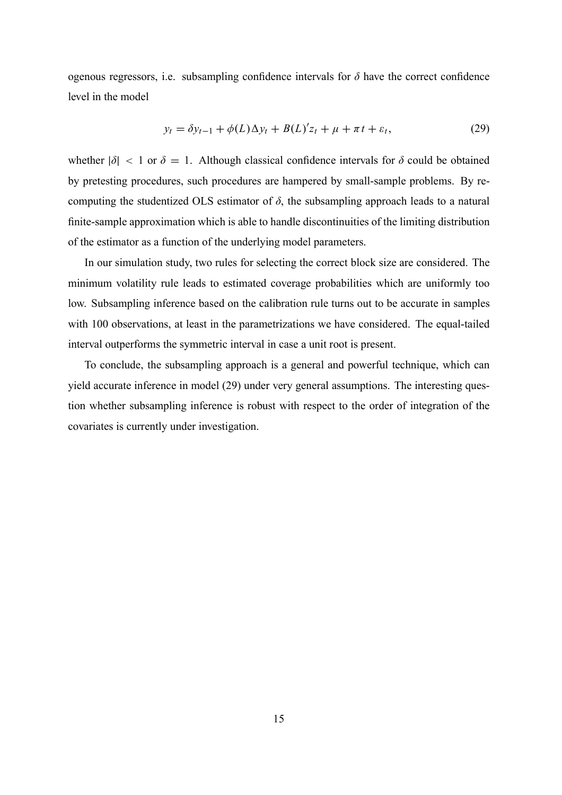ogenous regressors, i.e. subsampling confidence intervals for  $\delta$  have the correct confidence level in the model

$$
y_t = \delta y_{t-1} + \phi(L)\Delta y_t + B(L)'z_t + \mu + \pi t + \varepsilon_t,
$$
\n(29)

whether  $|\delta|$  < 1 or  $\delta = 1$ . Although classical confidence intervals for  $\delta$  could be obtained by pretesting procedures, such procedures are hampered by small-sample problems. By recomputing the studentized OLS estimator of  $\delta$ , the subsampling approach leads to a natural finite-sample approximation which is able to handle discontinuities of the limiting distribution of the estimator as a function of the underlying model parameters.

In our simulation study, two rules for selecting the correct block size are considered. The minimum volatility rule leads to estimated coverage probabilities which are uniformly too low. Subsampling inference based on the calibration rule turns out to be accurate in samples with 100 observations, at least in the parametrizations we have considered. The equal-tailed interval outperforms the symmetric interval in case a unit root is present.

To conclude, the subsampling approach is a general and powerful technique, which can yield accurate inference in model (29) under very general assumptions. The interesting question whether subsampling inference is robust with respect to the order of integration of the covariates is currently under investigation.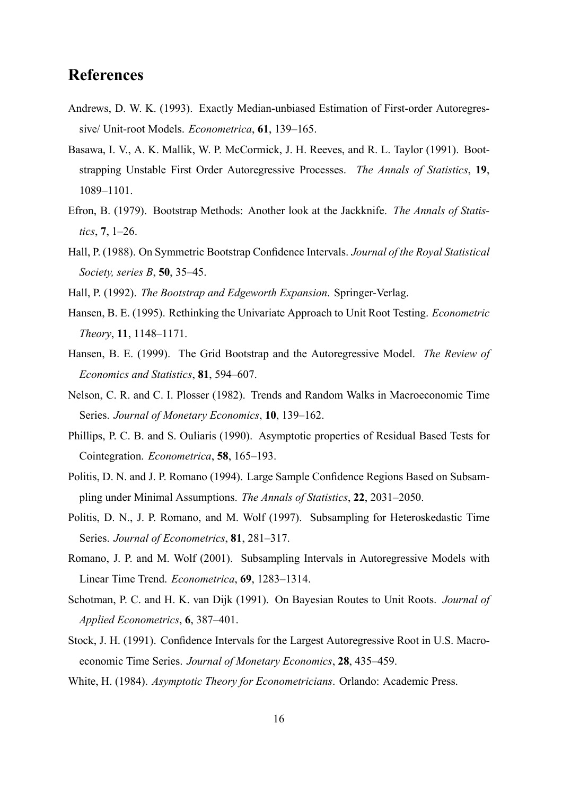## **References**

- Andrews, D. W. K. (1993). Exactly Median-unbiased Estimation of First-order Autoregressive/ Unit-root Models. *Econometrica*, 61, 139-165.
- Basawa, I. V., A. K. Mallik, W. P. McCormick, J. H. Reeves, and R. L. Taylor (1991). Bootstrapping Unstable First Order Autoregressive Processes. *The Annals of Statistics*, **19**, 1089-1101.
- Efron, B. (1979). Bootstrap Methods: Another look at the Jackknife. *The Annals of Statistics*, 7, 1–26.
- Hall, P. (1988). On Symmetric Bootstrap Confidence Intervals. *Journal of the Royal Statistical Society, series B,* 50, 35–45.
- Hall, P. (1992). *The Bootstrap and Edgeworth Expansion*. Springer-Verlag.
- Hansen, B. E. (1995). Rethinking the Univariate Approach to Unit Root Testing. *Econometric Theory*, **11**, 1148–1171.
- Hansen, B. E. (1999). The Grid Bootstrap and the Autoregressive Model. *The Review of Economics and Statistics*, **81**, 594–607.
- Nelson, C. R. and C. I. Plosser (1982). Trends and Random Walks in Macroeconomic Time Series. *Journal of Monetary Economics*, **10**, 139–162.
- Phillips, P. C. B. and S. Ouliaris (1990). Asymptotic properties of Residual Based Tests for Cointegration. *Econometrica*, **58**, 165–193.
- Politis, D. N. and J. P. Romano (1994). Large Sample Confidence Regions Based on Subsampling under Minimal Assumptions. *The Annals of Statistics*, 22, 2031–2050.
- Politis, D. N., J. P. Romano, and M. Wolf (1997). Subsampling for Heteroskedastic Time Series. *Journal of Econometrics*, **81**, 281-317.
- Romano, J. P. and M. Wolf (2001). Subsampling Intervals in Autoregressive Models with Linear Time Trend. *Econometrica*, 69, 1283-1314.
- Schotman, P. C. and H. K. van Dijk (1991). On Bayesian Routes to Unit Roots. *Journal of Applied Econometrics*, 6, 387-401.
- Stock, J. H. (1991). Confidence Intervals for the Largest Autoregressive Root in U.S. Macroeconomic Time Series. *Journal of Monetary Economics*, **28**, 435–459.
- White, H. (1984). *Asymptotic Theory for Econometricians*. Orlando: Academic Press.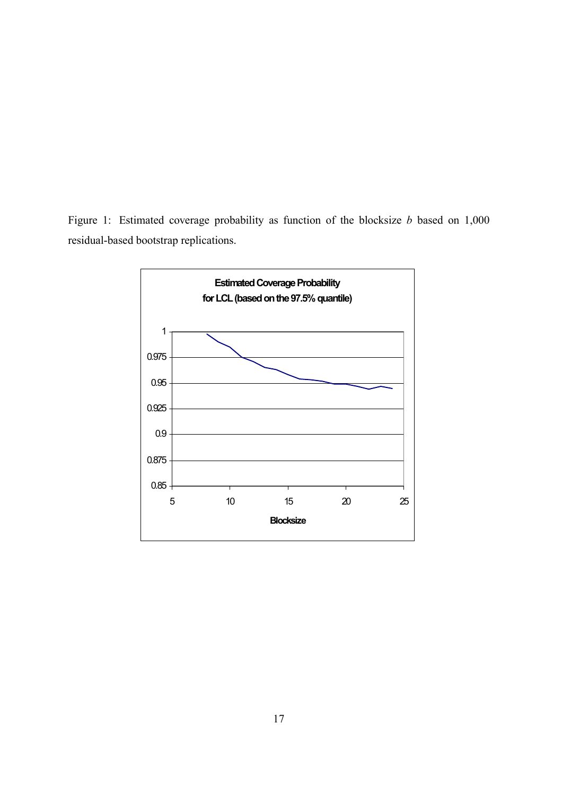Figure 1: Estimated coverage probability as function of the blocksize *b* based on 1,000 residual-based bootstrap replications.

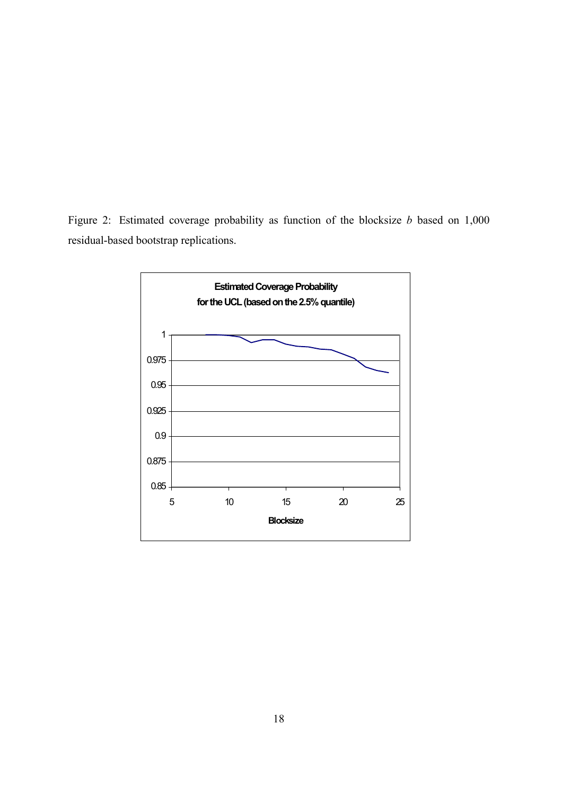Figure 2: Estimated coverage probability as function of the blocksize *b* based on 1,000 residual-based bootstrap replications.

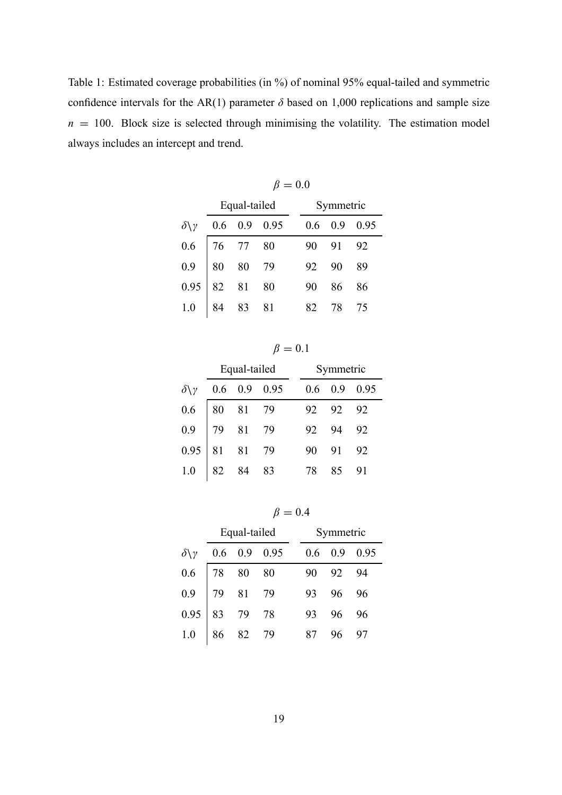Table 1: Estimated coverage probabilities (in %) of nominal 95% equal-tailed and symmetric confidence intervals for the AR(1) parameter  $\delta$  based on 1,000 replications and sample size  $n = 100$ . Block size is selected through minimising the volatility. The estimation model always includes an intercept and trend.

|                                                                                                                                                                        | $\beta=0.0$  |  |                |  |     |           |          |  |
|------------------------------------------------------------------------------------------------------------------------------------------------------------------------|--------------|--|----------------|--|-----|-----------|----------|--|
|                                                                                                                                                                        | Equal-tailed |  |                |  |     | Symmetric |          |  |
| $\delta\$ gamma                                                                                                                                                        |              |  | $0.6$ 0.9 0.95 |  | 0.6 |           | 0.9 0.95 |  |
|                                                                                                                                                                        |              |  |                |  | 90  | 91        | 92       |  |
|                                                                                                                                                                        |              |  |                |  |     | 92 90 89  |          |  |
|                                                                                                                                                                        |              |  |                |  | 90  | 86        | 86       |  |
| $\begin{tabular}{ c c c c } \hline 0.6 & 76 & 77 & 80 \\ \hline 0.9 & 80 & 80 & 79 \\ \hline 0.95 & 82 & 81 & 80 \\ \hline 1.0 & 84 & 83 & 81 \\ \hline \end{tabular}$ |              |  |                |  | 82  | 78        | 75       |  |

|--|--|--|--|--|

|                                                               | Equal-tailed |  |                | Symmetric |          |                |
|---------------------------------------------------------------|--------------|--|----------------|-----------|----------|----------------|
| $\delta\$ gamma                                               |              |  | $0.6$ 0.9 0.95 |           |          | $0.6$ 0.9 0.95 |
|                                                               |              |  |                | 92        | 92 92    |                |
|                                                               |              |  |                |           | 92 94 92 |                |
| 0.6 80 81 79<br>0.9 79 81 79<br>0.95 81 81 79<br>1.0 82 84 83 |              |  |                |           | 90 91 92 |                |
|                                                               |              |  |                | 78        | $85 - 8$ | 91             |

 $\beta = 0.4$ 

|                                                                                                                              | Equal-tailed |  |                          | Symmetric |          |                |  |
|------------------------------------------------------------------------------------------------------------------------------|--------------|--|--------------------------|-----------|----------|----------------|--|
|                                                                                                                              |              |  | $\delta$ \y 0.6 0.9 0.95 |           |          | $0.6$ 0.9 0.95 |  |
| $\begin{array}{c ccccc}\n0.6 & 78 & 80 & 80 \\ 0.9 & 79 & 81 & 79 \\ 0.95 & 83 & 79 & 78 \\ 1.0 & 86 & 82 & 79\n\end{array}$ |              |  |                          | 90        | 92 94    |                |  |
|                                                                                                                              |              |  |                          |           | 93 96 96 |                |  |
|                                                                                                                              |              |  |                          |           | 93 96 96 |                |  |
|                                                                                                                              |              |  |                          |           | 87 96 97 |                |  |